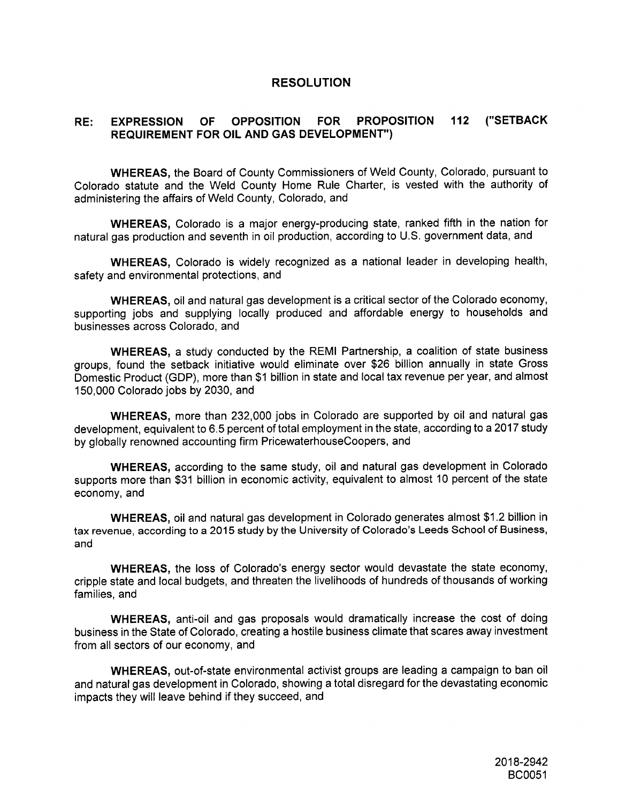## **RESOLUTION**

## **RE: EXPRESSION OF OPPOSITION FOR PROPOSITION 112 ("SETBACK REQUIREMENT FOR OIL AND GAS DEVELOPMENT")**

**WHEREAS, the Board of County Commissioners ofWeld County, Colorado, pursuant to Colorado statuteand the Weld County Home Rule Charter, is vested with the authorityof administeringthe affairsofWeld County, Colorado, and**

**WHEREAS,** Colorado is a major energy-producing state, ranked fifth in the nation for **naturalgas productionand seventh inoilproduction,according to U.S. government data,and**

**WHEREAS, Colorado is widely recognized as a nationalleader in developing health, safetyand environmental protections,and**

**WHEREAS, oiland naturalgas development isa criticalsectorofthe Colorado economy, supporting jobs and supplying locallyproduced and affordable energy to households and businesses across Colorado, and**

**WHEREAS, a study conducted by the REMI Partnership,a coalitionof statebusiness groups, found the setback initiativewould eliminateover \$26 billionannually in state Gross Domestic Product (GDP), more than \$1 billioninstateand localtax revenue per year,and almost 150,000 Colorado jobs by 2030, and**

**WHEREAS, more than 232,000 jobs in Colorado are supported by oiland naturalgas development, equivalentto6.5 percentoftotalemployment inthe state,accordingto a 2017 study by globallyrenowned accounting firmPricewaterhouseCoopers, and**

**WHEREAS, according to the same study,oiland naturalgas development in Colorado supports more than \$31 billionineconomic activity,equivalentto almost 10 percent ofthe state economy, and**

**WHEREAS, oiland naturalgas development inColorado generates almost \$1.2 billionin tax revenue, according toa 2015 study by the UniversityofColorado's Leeds School of Business, and**

**WHEREAS,** the loss of Colorado's energy sector would devastate the state economy, **cripplestateand localbudgets, and threatenthe livelihoodsof hundreds ofthousands ofworking families,and**

**WHEREAS, anti-oiland gas proposals would dramaticallyincrease the cost of doing business inthe StateofColorado, creatinga hostilebusiness climatethatscares away investment from allsectorsof our economy, and**

**WHEREAS, out-of-state environmental activist groups are leading a campaign to ban oil and naturalgas development inColorado, showing a totaldisregardforthe devastatingeconomic impacts they willleave behind ifthey succeed, and**